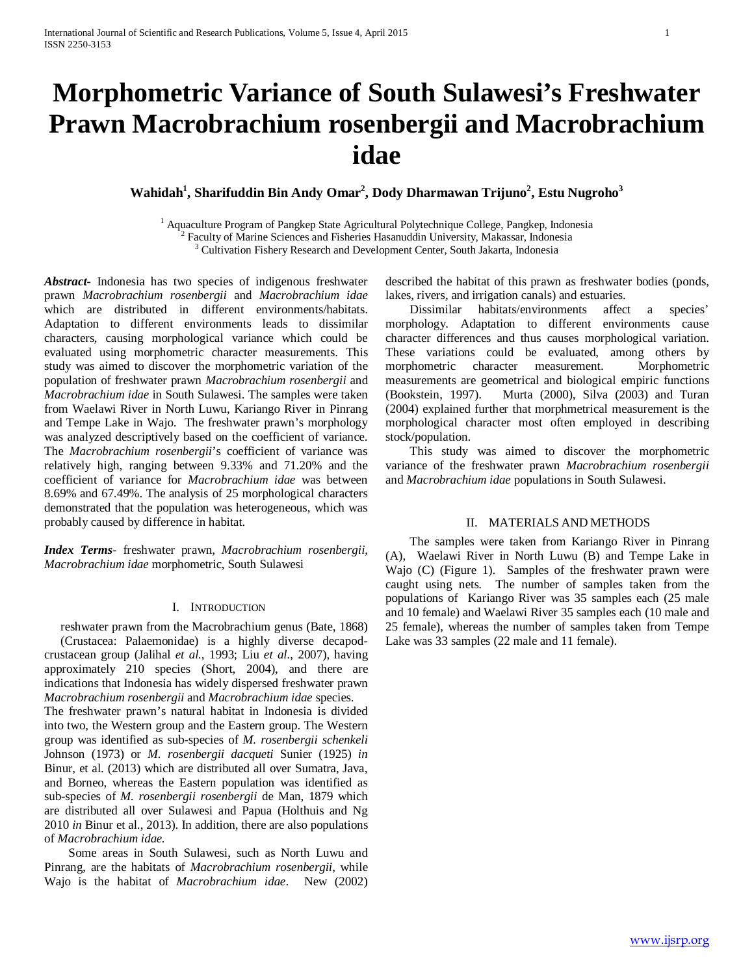# **Morphometric Variance of South Sulawesi's Freshwater Prawn Macrobrachium rosenbergii and Macrobrachium idae**

## $\mathbf{W}$ ahidah<sup>1</sup>, Sharifuddin Bin Andy Omar<sup>2</sup>, Dody Dharmawan Trijuno<sup>2</sup>, Estu Nugroho<sup>3</sup>

<sup>1</sup> Aquaculture Program of Pangkep State Agricultural Polytechnique College, Pangkep, Indonesia <sup>2</sup> Faculty of Marine Sciences and Fisheries Hasanuddin University, Makassar, Indonesia <sup>3</sup> Cultivation Fishery Research and Development Center, South Jakarta, Indonesia

*Abstract***-** Indonesia has two species of indigenous freshwater prawn *Macrobrachium rosenbergii* and *Macrobrachium idae* which are distributed in different environments/habitats. Adaptation to different environments leads to dissimilar characters, causing morphological variance which could be evaluated using morphometric character measurements. This study was aimed to discover the morphometric variation of the population of freshwater prawn *Macrobrachium rosenbergii* and *Macrobrachium idae* in South Sulawesi. The samples were taken from Waelawi River in North Luwu, Kariango River in Pinrang and Tempe Lake in Wajo. The freshwater prawn's morphology was analyzed descriptively based on the coefficient of variance. The *Macrobrachium rosenbergii*'s coefficient of variance was relatively high, ranging between 9.33% and 71.20% and the coefficient of variance for *Macrobrachium idae* was between 8.69% and 67.49%. The analysis of 25 morphological characters demonstrated that the population was heterogeneous, which was probably caused by difference in habitat.

*Index Terms*- freshwater prawn, *Macrobrachium rosenbergii, Macrobrachium idae* morphometric, South Sulawesi

#### I. INTRODUCTION

reshwater prawn from the Macrobrachium genus (Bate, 1868) (Crustacea: Palaemonidae) is a highly diverse decapodcrustacean group (Jalihal *et al.*, 1993; Liu *et al.*, 2007), having approximately 210 species (Short, 2004), and there are indications that Indonesia has widely dispersed freshwater prawn *Macrobrachium rosenbergii* and *Macrobrachium idae* species.

The freshwater prawn's natural habitat in Indonesia is divided into two, the Western group and the Eastern group. The Western group was identified as sub-species of *M. rosenbergii schenkeli* Johnson (1973) or *M. rosenbergii dacqueti* Sunier (1925) *in*  Binur, et al. (2013) which are distributed all over Sumatra, Java, and Borneo, whereas the Eastern population was identified as sub-species of *M. rosenbergii rosenbergii* de Man, 1879 which are distributed all over Sulawesi and Papua (Holthuis and Ng 2010 *in* Binur et al., 2013). In addition, there are also populations of *Macrobrachium idae.*

 Some areas in South Sulawesi, such as North Luwu and Pinrang, are the habitats of *Macrobrachium rosenbergii*, while Wajo is the habitat of *Macrobrachium idae*. New (2002) described the habitat of this prawn as freshwater bodies (ponds, lakes, rivers, and irrigation canals) and estuaries.

 Dissimilar habitats/environments affect a species' morphology. Adaptation to different environments cause character differences and thus causes morphological variation. These variations could be evaluated, among others by morphometric character measurement. Morphometric morphometric character measurement. Morphometric measurements are geometrical and biological empiric functions (Bookstein, 1997). Murta (2000), Silva (2003) and Turan (2004) explained further that morphmetrical measurement is the morphological character most often employed in describing stock/population.

 This study was aimed to discover the morphometric variance of the freshwater prawn *Macrobrachium rosenbergii* and *Macrobrachium idae* populations in South Sulawesi.

#### II. MATERIALS AND METHODS

 The samples were taken from Kariango River in Pinrang (A), Waelawi River in North Luwu (B) and Tempe Lake in Wajo (C) (Figure 1). Samples of the freshwater prawn were caught using nets. The number of samples taken from the populations of Kariango River was 35 samples each (25 male and 10 female) and Waelawi River 35 samples each (10 male and 25 female), whereas the number of samples taken from Tempe Lake was 33 samples (22 male and 11 female).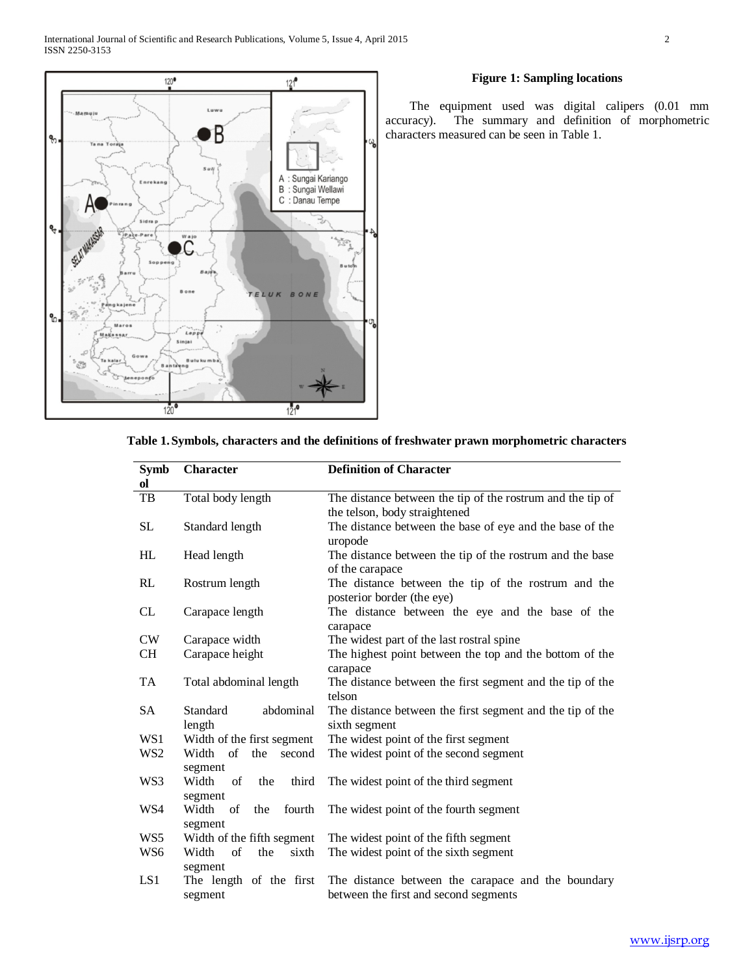

## **Figure 1: Sampling locations**

 The equipment used was digital calipers (0.01 mm accuracy). The summary and definition of morphometric characters measured can be seen in Table 1.

| <b>Character</b>  | <b>Definition of Character</b>                                                                                                                                                                                                                                                                                                                                                                                          |  |  |  |
|-------------------|-------------------------------------------------------------------------------------------------------------------------------------------------------------------------------------------------------------------------------------------------------------------------------------------------------------------------------------------------------------------------------------------------------------------------|--|--|--|
|                   |                                                                                                                                                                                                                                                                                                                                                                                                                         |  |  |  |
| Total body length | The distance between the tip of the rostrum and the tip of                                                                                                                                                                                                                                                                                                                                                              |  |  |  |
|                   | the telson, body straightened                                                                                                                                                                                                                                                                                                                                                                                           |  |  |  |
| Standard length   | The distance between the base of eye and the base of the                                                                                                                                                                                                                                                                                                                                                                |  |  |  |
|                   | uropode                                                                                                                                                                                                                                                                                                                                                                                                                 |  |  |  |
| Head length       | The distance between the tip of the rostrum and the base                                                                                                                                                                                                                                                                                                                                                                |  |  |  |
|                   | of the carapace                                                                                                                                                                                                                                                                                                                                                                                                         |  |  |  |
|                   | The distance between the tip of the rostrum and the                                                                                                                                                                                                                                                                                                                                                                     |  |  |  |
|                   | posterior border (the eye)                                                                                                                                                                                                                                                                                                                                                                                              |  |  |  |
|                   | The distance between the eye and the base of the                                                                                                                                                                                                                                                                                                                                                                        |  |  |  |
|                   | carapace                                                                                                                                                                                                                                                                                                                                                                                                                |  |  |  |
|                   | The widest part of the last rostral spine                                                                                                                                                                                                                                                                                                                                                                               |  |  |  |
|                   | The highest point between the top and the bottom of the                                                                                                                                                                                                                                                                                                                                                                 |  |  |  |
|                   | carapace                                                                                                                                                                                                                                                                                                                                                                                                                |  |  |  |
|                   | The distance between the first segment and the tip of the                                                                                                                                                                                                                                                                                                                                                               |  |  |  |
|                   | telson                                                                                                                                                                                                                                                                                                                                                                                                                  |  |  |  |
|                   | The distance between the first segment and the tip of the                                                                                                                                                                                                                                                                                                                                                               |  |  |  |
|                   | sixth segment                                                                                                                                                                                                                                                                                                                                                                                                           |  |  |  |
|                   | The widest point of the first segment                                                                                                                                                                                                                                                                                                                                                                                   |  |  |  |
|                   | The widest point of the second segment                                                                                                                                                                                                                                                                                                                                                                                  |  |  |  |
|                   |                                                                                                                                                                                                                                                                                                                                                                                                                         |  |  |  |
|                   | The widest point of the third segment                                                                                                                                                                                                                                                                                                                                                                                   |  |  |  |
|                   | The widest point of the fourth segment                                                                                                                                                                                                                                                                                                                                                                                  |  |  |  |
|                   |                                                                                                                                                                                                                                                                                                                                                                                                                         |  |  |  |
|                   | The widest point of the fifth segment                                                                                                                                                                                                                                                                                                                                                                                   |  |  |  |
|                   | The widest point of the sixth segment                                                                                                                                                                                                                                                                                                                                                                                   |  |  |  |
|                   |                                                                                                                                                                                                                                                                                                                                                                                                                         |  |  |  |
|                   | The distance between the carapace and the boundary                                                                                                                                                                                                                                                                                                                                                                      |  |  |  |
|                   | between the first and second segments                                                                                                                                                                                                                                                                                                                                                                                   |  |  |  |
|                   | Rostrum length<br>Carapace length<br>Carapace width<br>Carapace height<br>Total abdominal length<br>abdominal<br>Standard<br>length<br>Width of the first segment<br>$\sigma$ f<br>Width<br>the<br>second<br>segment<br>Width<br>of<br>the<br>third<br>segment<br>Width<br>fourth<br>of<br>the<br>segment<br>Width of the fifth segment<br>of<br>Width<br>the<br>sixth<br>segment<br>The length of the first<br>segment |  |  |  |

|  |  |  | Table 1. Symbols, characters and the definitions of freshwater prawn morphometric characters |
|--|--|--|----------------------------------------------------------------------------------------------|
|--|--|--|----------------------------------------------------------------------------------------------|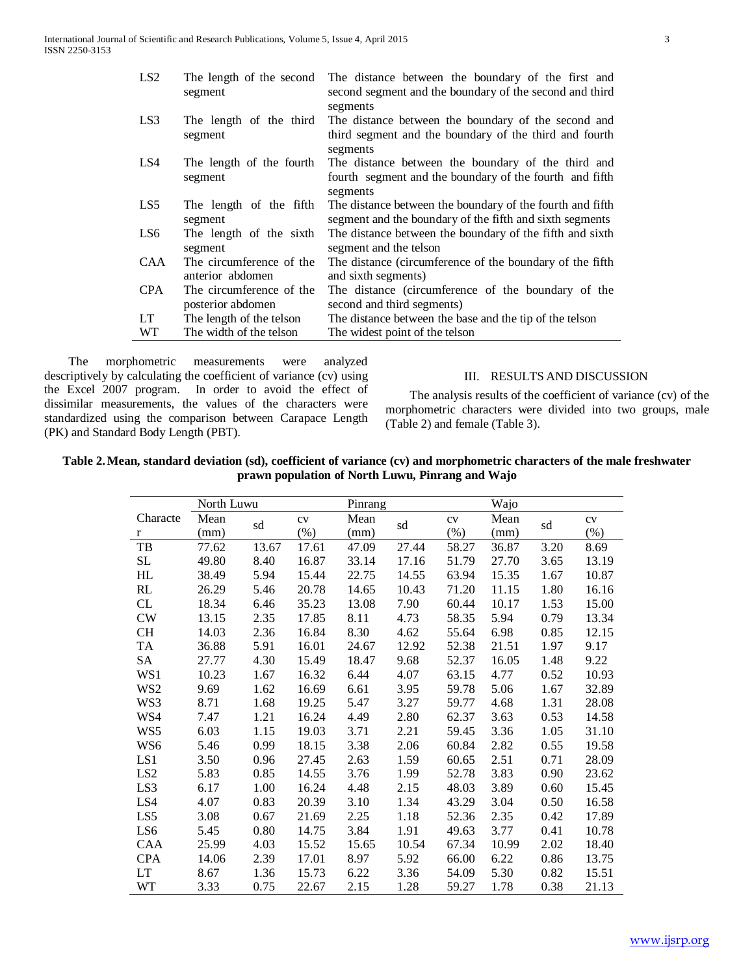| LS2  | The length of the second<br>segment           | The distance between the boundary of the first and<br>second segment and the boundary of the second and third<br>segments |
|------|-----------------------------------------------|---------------------------------------------------------------------------------------------------------------------------|
| LS3  | The length of the third<br>segment            | The distance between the boundary of the second and<br>third segment and the boundary of the third and fourth<br>segments |
| LS4  | The length of the fourth<br>segment           | The distance between the boundary of the third and<br>fourth segment and the boundary of the fourth and fifth<br>segments |
| LS5  | The length of the fifth<br>segment            | The distance between the boundary of the fourth and fifth<br>segment and the boundary of the fifth and sixth segments     |
| LS6  | The length of the sixth<br>segment            | The distance between the boundary of the fifth and sixth<br>segment and the telson                                        |
| CAA  | The circumference of the<br>anterior abdomen  | The distance (circumference of the boundary of the fifth<br>and sixth segments)                                           |
| CPA. | The circumference of the<br>posterior abdomen | The distance (circumference of the boundary of the<br>second and third segments)                                          |
| LT.  | The length of the telson                      | The distance between the base and the tip of the telson                                                                   |
| WТ   | The width of the telson                       | The widest point of the telson                                                                                            |

 The morphometric measurements were analyzed descriptively by calculating the coefficient of variance (cv) using the Excel 2007 program. In order to avoid the effect of dissimilar measurements, the values of the characters were standardized using the comparison between Carapace Length (PK) and Standard Body Length (PBT).

### III. RESULTS AND DISCUSSION

 The analysis results of the coefficient of variance (cv) of the morphometric characters were divided into two groups, male (Table 2) and female (Table 3).

**Table 2.Mean, standard deviation (sd), coefficient of variance (cv) and morphometric characters of the male freshwater prawn population of North Luwu, Pinrang and Wajo**

|                 | North Luwu |       |        | Pinrang |       |       | Wajo  |      |        |
|-----------------|------------|-------|--------|---------|-------|-------|-------|------|--------|
| Characte        | Mean       |       | cv     | Mean    |       | CV    | Mean  |      | CV     |
| r               | (mm)       | sd    | $(\%)$ | (mm)    | sd    | (% )  | (mm)  | sd   | $(\%)$ |
| TB              | 77.62      | 13.67 | 17.61  | 47.09   | 27.44 | 58.27 | 36.87 | 3.20 | 8.69   |
| <b>SL</b>       | 49.80      | 8.40  | 16.87  | 33.14   | 17.16 | 51.79 | 27.70 | 3.65 | 13.19  |
| HL              | 38.49      | 5.94  | 15.44  | 22.75   | 14.55 | 63.94 | 15.35 | 1.67 | 10.87  |
| RL              | 26.29      | 5.46  | 20.78  | 14.65   | 10.43 | 71.20 | 11.15 | 1.80 | 16.16  |
| CL              | 18.34      | 6.46  | 35.23  | 13.08   | 7.90  | 60.44 | 10.17 | 1.53 | 15.00  |
| <b>CW</b>       | 13.15      | 2.35  | 17.85  | 8.11    | 4.73  | 58.35 | 5.94  | 0.79 | 13.34  |
| <b>CH</b>       | 14.03      | 2.36  | 16.84  | 8.30    | 4.62  | 55.64 | 6.98  | 0.85 | 12.15  |
| <b>TA</b>       | 36.88      | 5.91  | 16.01  | 24.67   | 12.92 | 52.38 | 21.51 | 1.97 | 9.17   |
| <b>SA</b>       | 27.77      | 4.30  | 15.49  | 18.47   | 9.68  | 52.37 | 16.05 | 1.48 | 9.22   |
| WS1             | 10.23      | 1.67  | 16.32  | 6.44    | 4.07  | 63.15 | 4.77  | 0.52 | 10.93  |
| WS <sub>2</sub> | 9.69       | 1.62  | 16.69  | 6.61    | 3.95  | 59.78 | 5.06  | 1.67 | 32.89  |
| WS3             | 8.71       | 1.68  | 19.25  | 5.47    | 3.27  | 59.77 | 4.68  | 1.31 | 28.08  |
| WS4             | 7.47       | 1.21  | 16.24  | 4.49    | 2.80  | 62.37 | 3.63  | 0.53 | 14.58  |
| WS5             | 6.03       | 1.15  | 19.03  | 3.71    | 2.21  | 59.45 | 3.36  | 1.05 | 31.10  |
| WS <sub>6</sub> | 5.46       | 0.99  | 18.15  | 3.38    | 2.06  | 60.84 | 2.82  | 0.55 | 19.58  |
| LS1             | 3.50       | 0.96  | 27.45  | 2.63    | 1.59  | 60.65 | 2.51  | 0.71 | 28.09  |
| LS <sub>2</sub> | 5.83       | 0.85  | 14.55  | 3.76    | 1.99  | 52.78 | 3.83  | 0.90 | 23.62  |
| LS3             | 6.17       | 1.00  | 16.24  | 4.48    | 2.15  | 48.03 | 3.89  | 0.60 | 15.45  |
| LS4             | 4.07       | 0.83  | 20.39  | 3.10    | 1.34  | 43.29 | 3.04  | 0.50 | 16.58  |
| LS5             | 3.08       | 0.67  | 21.69  | 2.25    | 1.18  | 52.36 | 2.35  | 0.42 | 17.89  |
| LS6             | 5.45       | 0.80  | 14.75  | 3.84    | 1.91  | 49.63 | 3.77  | 0.41 | 10.78  |
| <b>CAA</b>      | 25.99      | 4.03  | 15.52  | 15.65   | 10.54 | 67.34 | 10.99 | 2.02 | 18.40  |
| <b>CPA</b>      | 14.06      | 2.39  | 17.01  | 8.97    | 5.92  | 66.00 | 6.22  | 0.86 | 13.75  |
| <b>LT</b>       | 8.67       | 1.36  | 15.73  | 6.22    | 3.36  | 54.09 | 5.30  | 0.82 | 15.51  |
| <b>WT</b>       | 3.33       | 0.75  | 22.67  | 2.15    | 1.28  | 59.27 | 1.78  | 0.38 | 21.13  |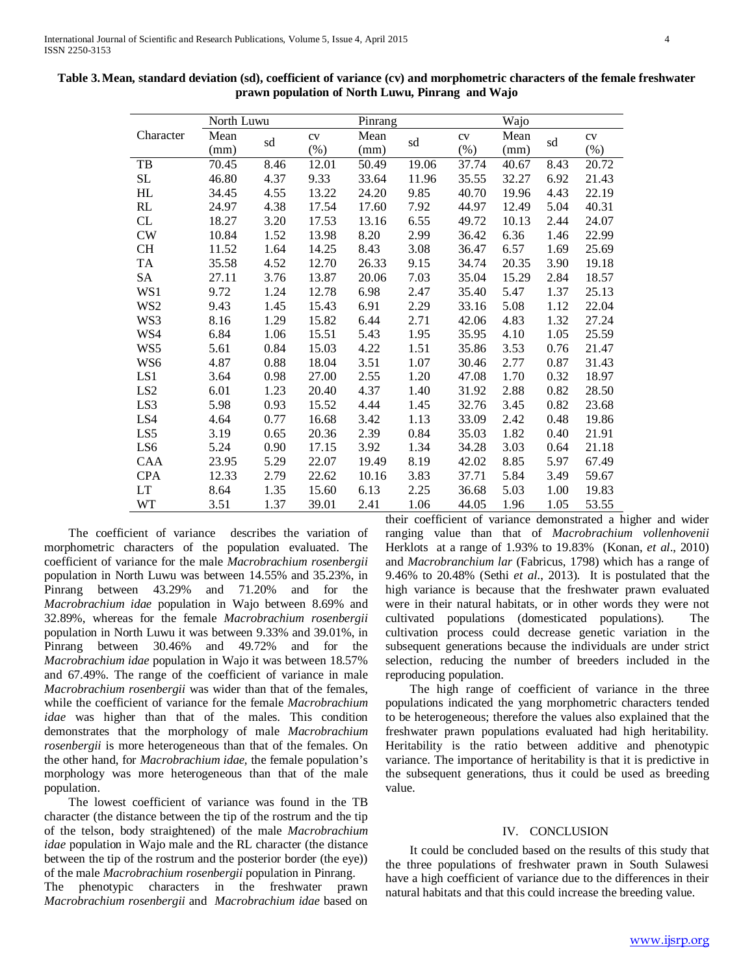|                 | North Luwu |      |         | Pinrang |       |         | Wajo  |      |         |
|-----------------|------------|------|---------|---------|-------|---------|-------|------|---------|
| Character       | Mean       |      | CV      | Mean    |       | CV      | Mean  | sd   | CV      |
|                 | (mm)       | sd   | $(\% )$ | (mm)    | sd    | $(\% )$ | (mm)  |      | $(\% )$ |
| TB              | 70.45      | 8.46 | 12.01   | 50.49   | 19.06 | 37.74   | 40.67 | 8.43 | 20.72   |
| SL              | 46.80      | 4.37 | 9.33    | 33.64   | 11.96 | 35.55   | 32.27 | 6.92 | 21.43   |
| HL              | 34.45      | 4.55 | 13.22   | 24.20   | 9.85  | 40.70   | 19.96 | 4.43 | 22.19   |
| RL              | 24.97      | 4.38 | 17.54   | 17.60   | 7.92  | 44.97   | 12.49 | 5.04 | 40.31   |
| CL              | 18.27      | 3.20 | 17.53   | 13.16   | 6.55  | 49.72   | 10.13 | 2.44 | 24.07   |
| $\text{CW}$     | 10.84      | 1.52 | 13.98   | 8.20    | 2.99  | 36.42   | 6.36  | 1.46 | 22.99   |
| СH              | 11.52      | 1.64 | 14.25   | 8.43    | 3.08  | 36.47   | 6.57  | 1.69 | 25.69   |
| TA              | 35.58      | 4.52 | 12.70   | 26.33   | 9.15  | 34.74   | 20.35 | 3.90 | 19.18   |
| SA              | 27.11      | 3.76 | 13.87   | 20.06   | 7.03  | 35.04   | 15.29 | 2.84 | 18.57   |
| WS1             | 9.72       | 1.24 | 12.78   | 6.98    | 2.47  | 35.40   | 5.47  | 1.37 | 25.13   |
| WS2             | 9.43       | 1.45 | 15.43   | 6.91    | 2.29  | 33.16   | 5.08  | 1.12 | 22.04   |
| WS3             | 8.16       | 1.29 | 15.82   | 6.44    | 2.71  | 42.06   | 4.83  | 1.32 | 27.24   |
| WS4             | 6.84       | 1.06 | 15.51   | 5.43    | 1.95  | 35.95   | 4.10  | 1.05 | 25.59   |
| WS5             | 5.61       | 0.84 | 15.03   | 4.22    | 1.51  | 35.86   | 3.53  | 0.76 | 21.47   |
| WS6             | 4.87       | 0.88 | 18.04   | 3.51    | 1.07  | 30.46   | 2.77  | 0.87 | 31.43   |
| LS1             | 3.64       | 0.98 | 27.00   | 2.55    | 1.20  | 47.08   | 1.70  | 0.32 | 18.97   |
| LS <sub>2</sub> | 6.01       | 1.23 | 20.40   | 4.37    | 1.40  | 31.92   | 2.88  | 0.82 | 28.50   |
| LS3             | 5.98       | 0.93 | 15.52   | 4.44    | 1.45  | 32.76   | 3.45  | 0.82 | 23.68   |
| LS4             | 4.64       | 0.77 | 16.68   | 3.42    | 1.13  | 33.09   | 2.42  | 0.48 | 19.86   |
| LS5             | 3.19       | 0.65 | 20.36   | 2.39    | 0.84  | 35.03   | 1.82  | 0.40 | 21.91   |
| LS6             | 5.24       | 0.90 | 17.15   | 3.92    | 1.34  | 34.28   | 3.03  | 0.64 | 21.18   |
| <b>CAA</b>      | 23.95      | 5.29 | 22.07   | 19.49   | 8.19  | 42.02   | 8.85  | 5.97 | 67.49   |
| <b>CPA</b>      | 12.33      | 2.79 | 22.62   | 10.16   | 3.83  | 37.71   | 5.84  | 3.49 | 59.67   |
| LT              | 8.64       | 1.35 | 15.60   | 6.13    | 2.25  | 36.68   | 5.03  | 1.00 | 19.83   |
| WT              | 3.51       | 1.37 | 39.01   | 2.41    | 1.06  | 44.05   | 1.96  | 1.05 | 53.55   |

| Table 3. Mean, standard deviation (sd), coefficient of variance (cv) and morphometric characters of the female freshwater |
|---------------------------------------------------------------------------------------------------------------------------|
| prawn population of North Luwu, Pinrang and Wajo                                                                          |

 The coefficient of variance describes the variation of morphometric characters of the population evaluated. The coefficient of variance for the male *Macrobrachium rosenbergii* population in North Luwu was between 14.55% and 35.23%, in Pinrang between 43.29% and 71.20% and for the *Macrobrachium idae* population in Wajo between 8.69% and 32.89%, whereas for the female *Macrobrachium rosenbergii* population in North Luwu it was between 9.33% and 39.01%, in Pinrang between 30.46% and 49.72% and for the *Macrobrachium idae* population in Wajo it was between 18.57% and 67.49%. The range of the coefficient of variance in male *Macrobrachium rosenbergii* was wider than that of the females, while the coefficient of variance for the female *Macrobrachium idae* was higher than that of the males. This condition demonstrates that the morphology of male *Macrobrachium rosenbergii* is more heterogeneous than that of the females. On the other hand, for *Macrobrachium idae,* the female population's morphology was more heterogeneous than that of the male population.

 The lowest coefficient of variance was found in the TB character (the distance between the tip of the rostrum and the tip of the telson, body straightened) of the male *Macrobrachium idae* population in Wajo male and the RL character (the distance between the tip of the rostrum and the posterior border (the eye)) of the male *Macrobrachium rosenbergii* population in Pinrang. The phenotypic characters in the freshwater prawn *Macrobrachium rosenbergii* and *Macrobrachium idae* based on

their coefficient of variance demonstrated a higher and wider ranging value than that of *Macrobrachium vollenhovenii* Herklots at a range of 1.93% to 19.83% (Konan, *et al*., 2010) and *Macrobranchium lar* (Fabricus, 1798) which has a range of 9.46% to 20.48% (Sethi *et al*., 2013). It is postulated that the high variance is because that the freshwater prawn evaluated were in their natural habitats, or in other words they were not cultivated populations (domesticated populations). The cultivation process could decrease genetic variation in the subsequent generations because the individuals are under strict selection, reducing the number of breeders included in the reproducing population.

 The high range of coefficient of variance in the three populations indicated the yang morphometric characters tended to be heterogeneous; therefore the values also explained that the freshwater prawn populations evaluated had high heritability. Heritability is the ratio between additive and phenotypic variance. The importance of heritability is that it is predictive in the subsequent generations, thus it could be used as breeding value.

## IV. CONCLUSION

 It could be concluded based on the results of this study that the three populations of freshwater prawn in South Sulawesi have a high coefficient of variance due to the differences in their natural habitats and that this could increase the breeding value.